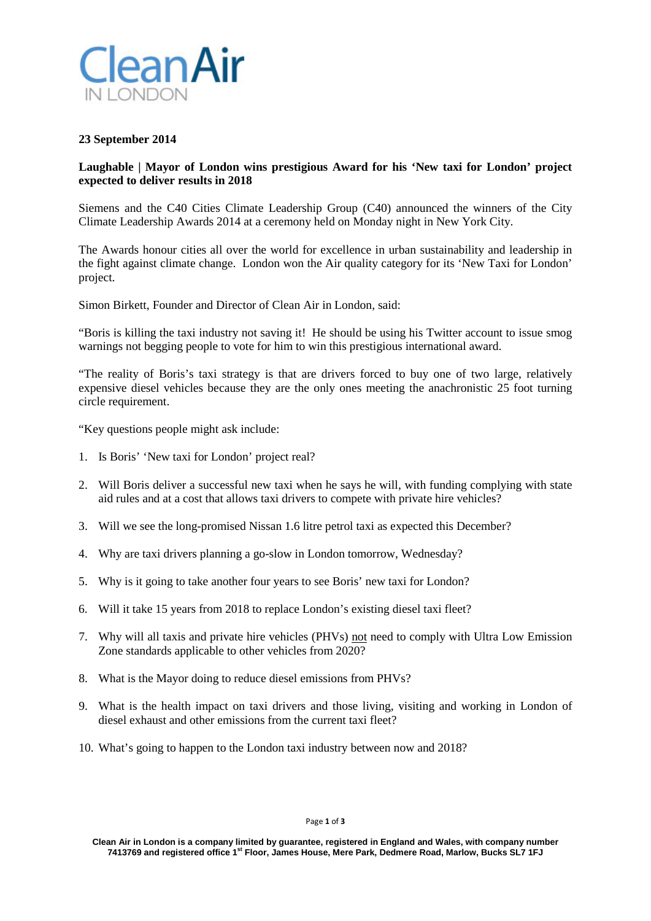

## **23 September 2014**

## **Laughable | Mayor of London wins prestigious Award for his 'New taxi for London' project expected to deliver results in 2018**

Siemens and the C40 Cities Climate Leadership Group (C40) announced the winners of the City Climate Leadership Awards 2014 at a ceremony held on Monday night in New York City.

The Awards honour cities all over the world for excellence in urban sustainability and leadership in the fight against climate change. London won the Air quality category for its 'New Taxi for London' project.

Simon Birkett, Founder and Director of Clean Air in London, said:

"Boris is killing the taxi industry not saving it! He should be using his Twitter account to issue smog warnings not begging people to vote for him to win this prestigious international award.

"The reality of Boris's taxi strategy is that are drivers forced to buy one of two large, relatively expensive diesel vehicles because they are the only ones meeting the anachronistic 25 foot turning circle requirement.

"Key questions people might ask include:

- 1. Is Boris' 'New taxi for London' project real?
- 2. Will Boris deliver a successful new taxi when he says he will, with funding complying with state aid rules and at a cost that allows taxi drivers to compete with private hire vehicles?
- 3. Will we see the long-promised Nissan 1.6 litre petrol taxi as expected this December?
- 4. Why are taxi drivers planning a go-slow in London tomorrow, Wednesday?
- 5. Why is it going to take another four years to see Boris' new taxi for London?
- 6. Will it take 15 years from 2018 to replace London's existing diesel taxi fleet?
- 7. Why will all taxis and private hire vehicles (PHVs) not need to comply with Ultra Low Emission Zone standards applicable to other vehicles from 2020?
- 8. What is the Mayor doing to reduce diesel emissions from PHVs?
- 9. What is the health impact on taxi drivers and those living, visiting and working in London of diesel exhaust and other emissions from the current taxi fleet?
- 10. What's going to happen to the London taxi industry between now and 2018?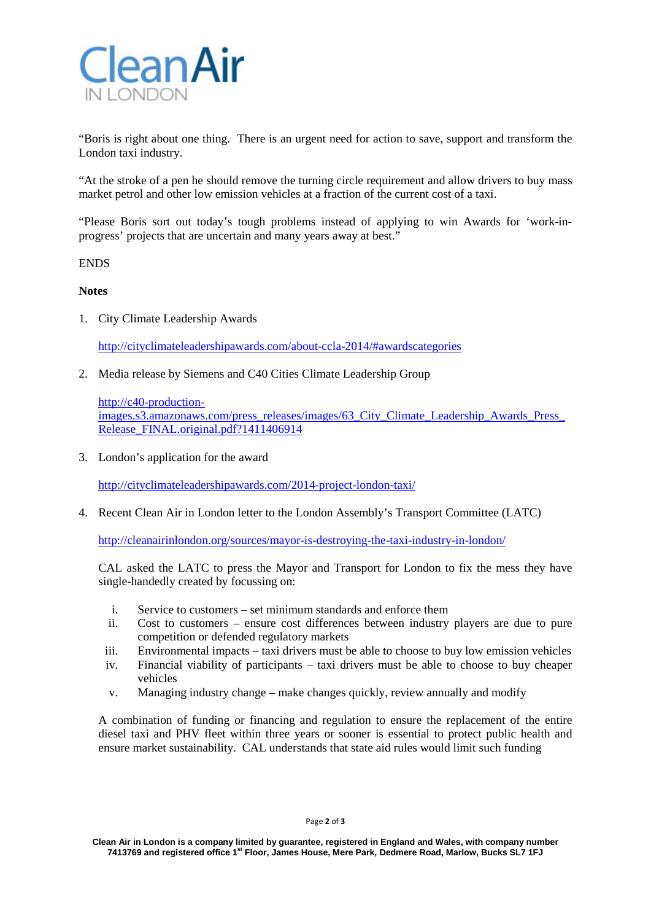

"Boris is right about one thing. There is an urgent need for action to save, support and transform the London taxi industry.

"At the stroke of a pen he should remove the turning circle requirement and allow drivers to buy mass market petrol and other low emission vehicles at a fraction of the current cost of a taxi.

"Please Boris sort out today's tough problems instead of applying to win Awards for 'work-inprogress' projects that are uncertain and many years away at best."

ENDS

**Notes**

1. City Climate Leadership Awards

<http://cityclimateleadershipawards.com/about-ccla-2014/#awardscategories>

2. Media release by Siemens and C40 Cities Climate Leadership Group

[http://c40-production](http://c40-production-images.s3.amazonaws.com/press_releases/images/63_City_Climate_Leadership_Awards_Press_Release_FINAL.original.pdf?1411406914)images.s3.amazonaws.com/press\_releases/images/63\_City\_Climate\_Leadership\_Awards\_Press [Release\\_FINAL.original.pdf?1411406914](http://c40-production-images.s3.amazonaws.com/press_releases/images/63_City_Climate_Leadership_Awards_Press_Release_FINAL.original.pdf?1411406914)

3. London's application for the award

<http://cityclimateleadershipawards.com/2014-project-london-taxi/>

4. Recent Clean Air in London letter to the London Assembly's Transport Committee (LATC)

<http://cleanairinlondon.org/sources/mayor-is-destroying-the-taxi-industry-in-london/>

CAL asked the LATC to press the Mayor and Transport for London to fix the mess they have single-handedly created by focussing on:

- i. Service to customers set minimum standards and enforce them
- ii. Cost to customers ensure cost differences between industry players are due to pure competition or defended regulatory markets
- iii. Environmental impacts taxi drivers must be able to choose to buy low emission vehicles
- iv. Financial viability of participants taxi drivers must be able to choose to buy cheaper vehicles
- v. Managing industry change make changes quickly, review annually and modify

A combination of funding or financing and regulation to ensure the replacement of the entire diesel taxi and PHV fleet within three years or sooner is essential to protect public health and ensure market sustainability. CAL understands that state aid rules would limit such funding

**Clean Air in London is a company limited by guarantee, registered in England and Wales, with company number 7413769 and registered office 1st Floor, James House, Mere Park, Dedmere Road, Marlow, Bucks SL7 1FJ**